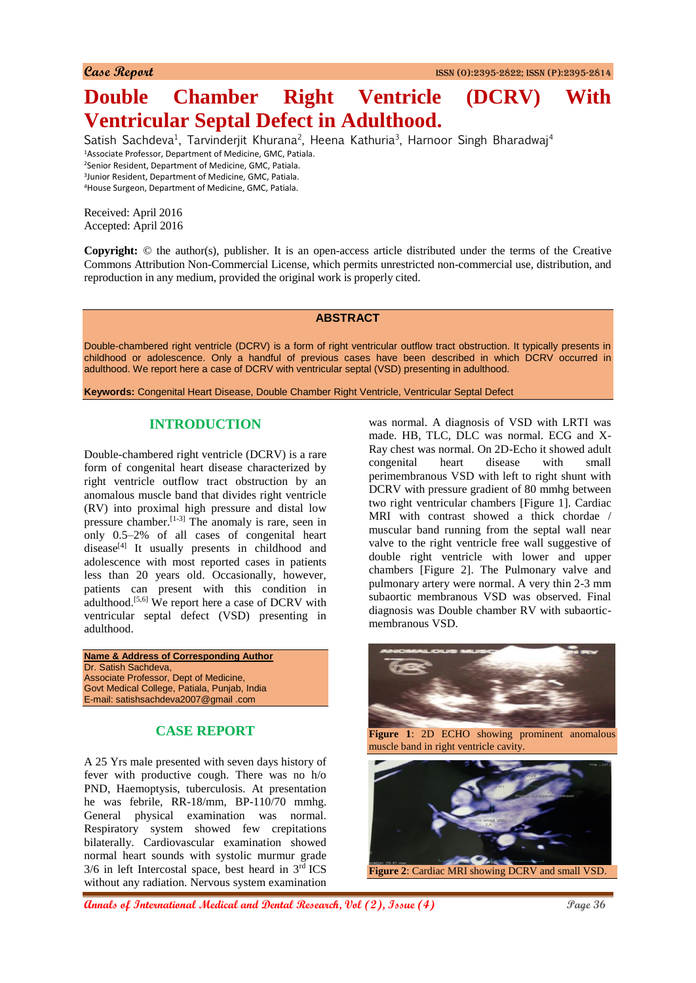# **Double Chamber Right Ventricle (DCRV) With Ventricular Septal Defect in Adulthood.**

Satish Sachdeva<sup>1</sup>, Tarvinderjit Khurana<sup>2</sup>, Heena Kathuria<sup>3</sup>, Harnoor Singh Bharadwaj<sup>4</sup> Associate Professor, Department of Medicine, GMC, Patiala. Senior Resident, Department of Medicine, GMC, Patiala. Junior Resident, Department of Medicine, GMC, Patiala. House Surgeon, Department of Medicine, GMC, Patiala.

Received: April 2016 Accepted: April 2016

**Copyright:** © the author(s), publisher. It is an open-access article distributed under the terms of the Creative Commons Attribution Non-Commercial License, which permits unrestricted non-commercial use, distribution, and reproduction in any medium, provided the original work is properly cited.

#### **ABSTRACT**

Double-chambered right ventricle (DCRV) is a form of right ventricular outflow tract obstruction. It typically presents in childhood or adolescence. Only a handful of previous cases have been described in which DCRV occurred in adulthood. We report here a case of DCRV with ventricular septal (VSD) presenting in adulthood.

**Keywords:** Congenital Heart Disease, Double Chamber Right Ventricle, Ventricular Septal Defect

# **INTRODUCTION**

Double-chambered right ventricle (DCRV) is a rare form of congenital heart disease characterized by right ventricle outflow tract obstruction by an anomalous muscle band that divides right ventricle (RV) into proximal high pressure and distal low pressure chamber.[1-3] The anomaly is rare, seen in only 0.5–2% of all cases of congenital heart disease<sup>[4]</sup> It usually presents in childhood and adolescence with most reported cases in patients less than 20 years old. Occasionally, however, patients can present with this condition in adulthood.[5,6] We report here a case of DCRV with ventricular septal defect (VSD) presenting in adulthood.

**Name & Address of Corresponding Author** Dr. Satish Sachdeva, Associate Professor, Dept of Medicine, Govt Medical College, Patiala, Punjab, India E-mail: satishsachdeva2007@gmail .com

# **CASE REPORT**

A 25 Yrs male presented with seven days history of fever with productive cough. There was no h/o PND, Haemoptysis, tuberculosis. At presentation he was febrile, RR-18/mm, BP-110/70 mmhg. General physical examination was normal. Respiratory system showed few crepitations bilaterally. Cardiovascular examination showed normal heart sounds with systolic murmur grade  $3/6$  in left Intercostal space, best heard in  $3<sup>rd</sup>$  ICS without any radiation. Nervous system examination

was normal. A diagnosis of VSD with LRTI was made. HB, TLC, DLC was normal. ECG and X-Ray chest was normal. On 2D-Echo it showed adult congenital heart disease with small perimembranous VSD with left to right shunt with DCRV with pressure gradient of 80 mmhg between two right ventricular chambers [Figure 1]. Cardiac MRI with contrast showed a thick chordae / muscular band running from the septal wall near valve to the right ventricle free wall suggestive of double right ventricle with lower and upper chambers [Figure 2]. The Pulmonary valve and pulmonary artery were normal. A very thin 2-3 mm subaortic membranous VSD was observed. Final diagnosis was Double chamber RV with subaorticmembranous VSD.



**Figure 1**: 2D ECHO showing prominent anomalous muscle band in right ventricle cavity.